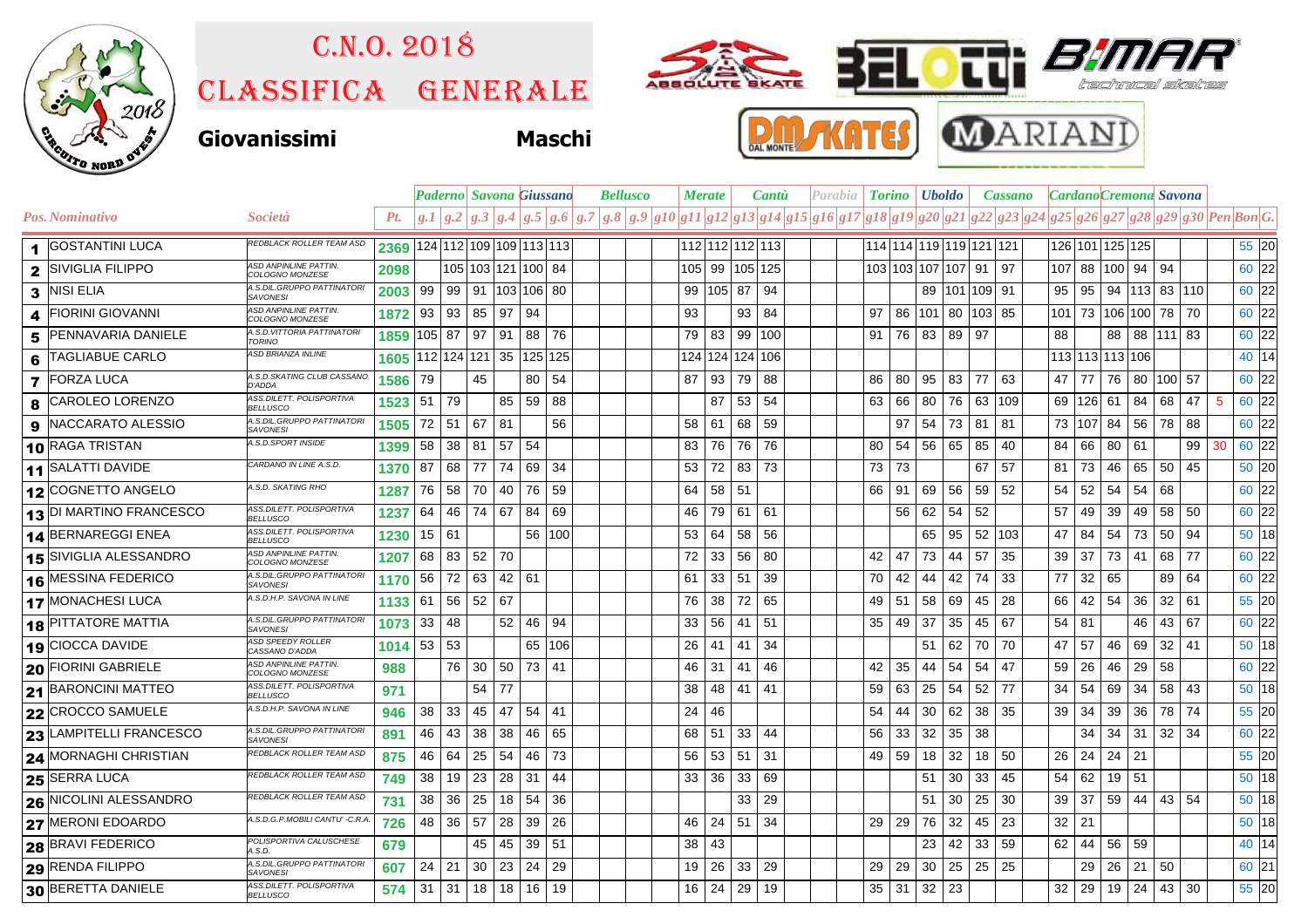

## Classifica generale C.n.o. 2018





## **Giovanissimi Maschi**





|                         |                               |                                                 |                              |              |         | <b>Paderno</b> Savona Giussano |                             |        | <b>Bellusco</b> |  |  | <b>Merate</b>                                                                                             |    | <b>Cantu</b> |                      | Parabia   <b>Torino   Uboldo</b> |  |  |                         |                 | <b>Cassano</b> |    |                     |     | Cardano Cremona Savona |         |                 |              |                   |                     |    |         |  |
|-------------------------|-------------------------------|-------------------------------------------------|------------------------------|--------------|---------|--------------------------------|-----------------------------|--------|-----------------|--|--|-----------------------------------------------------------------------------------------------------------|----|--------------|----------------------|----------------------------------|--|--|-------------------------|-----------------|----------------|----|---------------------|-----|------------------------|---------|-----------------|--------------|-------------------|---------------------|----|---------|--|
|                         | <b>Pos. Nominativo</b>        | <i>Società</i>                                  | Pt.                          |              |         |                                | g.1 g.2 g.3 g.4 g.5 g.6 g.7 |        |                 |  |  | $ g.8 g.9 g10 g11 g12 g13 g14 g15 g16 g17 g18 g19 g20 g21 g22 g23 g24 g25 g26 g27 g28 g29 g30 Pen Bon G.$ |    |              |                      |                                  |  |  |                         |                 |                |    |                     |     |                        |         |                 |              |                   |                     |    |         |  |
| 1                       | <b>GOSTANTINI LUCA</b>        | REDBLACK ROLLER TEAM ASD                        | 2369 124 112 109 109 113 113 |              |         |                                |                             |        |                 |  |  |                                                                                                           |    |              |                      | 112 112 112 113                  |  |  | 114 114 119 119 121 121 |                 |                |    |                     |     |                        |         | 126 101 125 125 |              |                   |                     |    | $55$ 20 |  |
| $\mathbf{2}$            | <b>SIVIGLIA FILIPPO</b>       | <b>ASD ANPINLINE PATTIN.</b><br>COLOGNO MONZESE | 2098                         |              |         |                                | 105 103 121 100 84          |        |                 |  |  |                                                                                                           |    |              | 105   99   105   125 |                                  |  |  | 103 103 107 107         |                 |                |    | 91                  | 97  |                        | 107 88  | 100             | 94           | 94                |                     |    | 60 22   |  |
| 3                       | <b>NISI ELIA</b>              | A.S.DIL.GRUPPO PATTINATORI<br><b>SAVONESI</b>   | 2003                         | 99           | 99      |                                | 91   103   106   80         |        |                 |  |  |                                                                                                           | 99 | 105 87       |                      | 94                               |  |  |                         |                 |                |    | 89   101   109   91 |     | 95                     | 95      |                 |              |                   | 94   113   83   110 |    | 60 22   |  |
| $\boldsymbol{4}$        | <b>FIORINI GIOVANNI</b>       | <b>ASD ANPINLINE PATTIN.</b><br>COLOGNO MONZESE | 1872                         | 93           | 93      | 85                             | 97                          | 94     |                 |  |  |                                                                                                           | 93 |              | 93                   | 84                               |  |  | 97                      | 86 101 80       |                |    | 103 85              |     |                        |         |                 |              | 101 73 106 100 78 | 70                  |    | 60 22   |  |
| 5                       | <b>PENNAVARIA DANIELE</b>     | A.S.D. VITTORIA PATTINATORI<br>TORINO           | 1859 105 87                  |              |         | 97                             | l 91                        | 88 76  |                 |  |  |                                                                                                           | 79 | 83           |                      | 99   100                         |  |  | $91 \vert$              | 76 83 89        |                |    | 97                  |     | 88                     |         | 88              |              | 88 111 83         |                     |    | $60$ 22 |  |
| 6                       | TAGLIABUE CARLO               | <b>ASD BRIANZA INLINE</b>                       |                              |              |         |                                | 1605 112 124 121 35 125 125 |        |                 |  |  |                                                                                                           |    |              |                      | 124   124   124   106            |  |  |                         |                 |                |    |                     |     |                        |         | 113 113 113 106 |              |                   |                     |    | 40 14   |  |
| $\overline{\mathbf{z}}$ | <b>FORZA LUCA</b>             | A.S.D. SKATING CLUB CASSANO<br>D'ADDA           | 1586                         | 79           |         | 45                             |                             | 80 54  |                 |  |  |                                                                                                           | 87 | 93           | 79                   | 88                               |  |  | 86                      | 80              | 95             | 83 | 77                  | 63  | 47                     | 77      | 76              |              | 80   100   57     |                     |    | 60 22   |  |
| 8                       | CAROLEO LORENZO               | ASS.DILETT. POLISPORTIVA<br><b>BELLUSCO</b>     | 1523                         | 51           | 79      |                                | 85                          | 59     | 88              |  |  |                                                                                                           |    | 87           | 53                   | 54                               |  |  | 63<br>66                |                 | 80             | 76 | 63                  | 109 |                        |         | 69   126   61   | 84           | 68                | 47                  | 5  | 60 22   |  |
| 9                       | NACCARATO ALESSIO             | A.S.DIL.GRUPPO PATTINATOR.<br><b>SAVONESI</b>   | 1505                         | 72 51        |         | 67                             | 81                          |        | 56              |  |  |                                                                                                           | 58 | 61           | 68                   | 59                               |  |  |                         | 97              | 54             | 73 | 81                  | 81  |                        | 73 107  | 84              | 56           | 78                | 88                  |    | 60 22   |  |
|                         | 10 RAGA TRISTAN               | A.S.D.SPORT INSIDE                              | 1399                         | 58           | 38      | 81                             | 57                          | -54    |                 |  |  |                                                                                                           | 83 | 76           | 76                   | 76                               |  |  | 80                      | 54 56 65        |                |    | 85                  | 40  | 84                     | 66      | 80              | 61           |                   | 99                  | 30 | 60 22   |  |
|                         | 11 SALATTI DAVIDE             | CARDANO IN LINE A.S.D.                          | 1370                         | 87           | 68      | 77                             | 74   69                     |        | -34             |  |  |                                                                                                           | 53 | 72           | 83                   | -73                              |  |  | 73<br>73                |                 |                |    | 67                  | 57  | 81.                    | 73      | 46              | 65           | 50                | 45                  |    | 50 20   |  |
|                         | 12 COGNETTO ANGELO            | A.S.D. SKATING RHO                              | 1287                         | 76 58        |         |                                | 70 40 76                    |        | 59              |  |  |                                                                                                           | 64 | 58 51        |                      |                                  |  |  | 66 I<br>-91             |                 | 69             | 56 | 59                  | 52  | 54                     | -52     | 54              | 54           | 68                |                     |    | 60 22   |  |
|                         | 13 DI MARTINO FRANCESCO       | ASS.DILETT. POLISPORTIVA<br><b>BELLUSCO</b>     | 1237                         |              | 64   46 | 74   67                        |                             | 84     | 69              |  |  |                                                                                                           | 46 |              | 79 61 61             |                                  |  |  |                         | 56 <sub>1</sub> | 62 54          |    | 52                  |     | 57                     | 49      | 39              | 49           | 58                | -50                 |    | 60 22   |  |
|                         | 14 BERNAREGGI ENEA            | ASS.DILETT. POLISPORTIVA<br><b>BELLUSCO</b>     | 1230                         | $15 \mid 61$ |         |                                |                             | 56 100 |                 |  |  |                                                                                                           | 53 | 64           | 58                   | 56                               |  |  |                         |                 | 65             | 95 | 52                  | 103 | 47                     | 84      | 54              | 73           | 50                | 94                  |    | 50 18   |  |
|                         | 15 SIVIGLIA ALESSANDRO        | <b>ASD ANPINLINE PATTIN.</b><br>COLOGNO MONZESE | 1207                         | 68           | 83      | 52 70                          |                             |        |                 |  |  |                                                                                                           | 72 | 33           | 56                   | 80                               |  |  | 47<br>42                |                 | 73             | 44 | 57                  | 35  | 39                     | -37     | 73              | 41           | 68                | 77                  |    | 60 22   |  |
|                         | 16 MESSINA FEDERICO           | A.S.DIL.GRUPPO PATTINATOR<br><b>SAVONESI</b>    | 1170                         | 56           | 72      | 63                             | $42 \mid 61$                |        |                 |  |  |                                                                                                           | 61 | 33 51        |                      | 39                               |  |  | 42<br>70                |                 | 44             | 42 | 74                  | 33  | 77                     | 32      | 65              |              | 89                | 64                  |    | 60 22   |  |
|                         | 17 MONACHESI LUCA             | A.S.D.H.P. SAVONA IN LINE                       | 1133                         | $61$ 56      |         | 52 67                          |                             |        |                 |  |  |                                                                                                           | 76 |              | 38 72                | 65                               |  |  | 49 51                   |                 | 58             | 69 | 45                  | 28  |                        | 66 42   | 54              | 36           | 32                | 61                  |    | 55 20   |  |
|                         | <b>18 PITTATORE MATTIA</b>    | A.S.DIL.GRUPPO PATTINATOR<br><b>SAVONESI</b>    | 1073                         | 33           | 48      |                                | $52 \mid 46$                |        | 94              |  |  |                                                                                                           | 33 | 56           | 41                   | -51                              |  |  | 35                      | 49              | 37             | 35 | 45                  | 67  | $54$ 81                |         |                 | 46           | 43                | 67                  |    | 60 22   |  |
| 19                      | <b>CIOCCA DAVIDE</b>          | ASD SPEEDY ROLLER<br>CASSANO D'ADDA             | 1014                         | 53 53        |         |                                |                             | 65 106 |                 |  |  |                                                                                                           | 26 | 41           | 41                   | 34                               |  |  |                         |                 | 51             | 62 | 70                  | 70  | 47                     | 57      | 46              | 69           | 32                | 41                  |    | $50$ 18 |  |
|                         | <b>20 FIORINI GABRIELE</b>    | <b>ASD ANPINLINE PATTIN.</b><br>COLOGNO MONZESE | 988                          |              | 76      | 30                             | $50$ 73 41                  |        |                 |  |  |                                                                                                           | 46 | 31           | 41                   | 46                               |  |  | 42                      | 35              | 44             | 54 | 54                  | 47  | 59                     | 26      | 46              | 29           | 58                |                     |    | 60 22   |  |
|                         | $21$ BARONCINI MATTEO         | ASS.DILETT. POLISPORTIVA<br><b>BELLUSCO</b>     | 971                          |              |         | 54                             | -77                         |        |                 |  |  |                                                                                                           | 38 | 48           | -41                  | -41                              |  |  | 63<br>59                |                 | 25             | 54 | 52                  | -77 | 34                     | -54     | 69              | 34           | 58                | 43                  |    | 50 18   |  |
|                         | 22 CROCCO SAMUELE             | A.S.D.H.P. SAVONA IN LINE                       | 946                          | 38           | 33      | 45                             | 47                          | 54 41  |                 |  |  |                                                                                                           | 24 | 46           |                      |                                  |  |  | 54<br>44                |                 | 30             | 62 | 38                  | 35  | 39                     | -34     | 39              | 36           | 78                | 74                  |    | 55 20   |  |
|                         | 23 LAMPITELLI FRANCESCO       | A.S.DIL.GRUPPO PATTINATOR.<br><b>SAVONESI</b>   | 891                          | 46           | 43      | 38                             | 38                          | 46     | 65              |  |  |                                                                                                           | 68 | 51           | 33                   | 44                               |  |  | 56                      | 33              | 32             | 35 | 38                  |     |                        | 34      | 34              | 31           |                   | $32 \mid 34$        |    | 60 22   |  |
|                         | <b>24 MORNAGHI CHRISTIAN</b>  | REDBLACK ROLLER TEAM ASD                        | 875                          | 46           | 64      | 25                             | 54                          | 46     | 73              |  |  |                                                                                                           | 56 | 53   51      |                      | -31                              |  |  | 49                      | 59              | 18             | 32 | 18                  | 50  | 26                     | 24      | 24              | 21           |                   |                     |    | $55$ 20 |  |
|                         | 25 SERRA LUCA                 | REDBLACK ROLLER TEAM ASD                        | 749                          | 38           | 19      | 23                             | 28                          | 31     | 44              |  |  |                                                                                                           | 33 | 36           | 33                   | 69                               |  |  |                         |                 | 51             | 30 | 33                  | 45  | 54                     | 62      | 19              | 51           |                   |                     |    | 50 18   |  |
|                         | <b>26 NICOLINI ALESSANDRO</b> | REDBLACK ROLLER TEAM ASD                        | 731                          | 38           | 36      | 25                             | 18                          | 54     | 36              |  |  |                                                                                                           |    |              | 33                   | 29                               |  |  |                         |                 | 51             | 30 | 25                  | 30  | 39                     | 37      | 59              | 44           | 43                | 54                  |    | 50 18   |  |
|                         | 27 MERONI EDOARDO             | A.S.D.G.P.MOBILI CANTU' -C.R.A.                 | 726                          | 48           | 36      | 57                             | 28                          | 39     | 26              |  |  |                                                                                                           | 46 | 24           | 51                   | -34                              |  |  | 29                      | 29              | 76             | 32 | 45                  | 23  |                        | $32$ 21 |                 |              |                   |                     |    | 50 18   |  |
|                         | <b>28 BRAVI FEDERICO</b>      | POLISPORTIVA CALUSCHESE<br>ASD                  | 679                          |              |         | 45                             | 45                          | 39     | 51              |  |  |                                                                                                           | 38 | 43           |                      |                                  |  |  |                         |                 | 23             | 42 | 33                  | 59  | 62                     | 44      | 56              | 59           |                   |                     |    | 40 14   |  |
|                         | 29 RENDA FILIPPO              | A.S.DIL.GRUPPO PATTINATORI<br><b>SAVONESI</b>   | 607                          | 24           | 21      | 30                             | 23                          | 24     | 29              |  |  |                                                                                                           | 19 | 26           | 33                   | 29                               |  |  | 29<br>29                |                 | 30             | 25 | 25                  | 25  |                        | 29      | 26              | 21           | 50                |                     |    | 60 21   |  |
|                         | 30 BERETTA DANIELE            | ASS.DILETT. POLISPORTIVA<br><b>BELLUSCO</b>     | 574                          | $31$ 31      |         |                                | 18 18 16                    |        | 19              |  |  |                                                                                                           | 16 | 24 29        |                      | 19                               |  |  | $35$ 31                 |                 | 32 23          |    |                     |     | 32                     | 29      |                 | $19 \mid 24$ | 43                | 30                  |    | 55 20   |  |